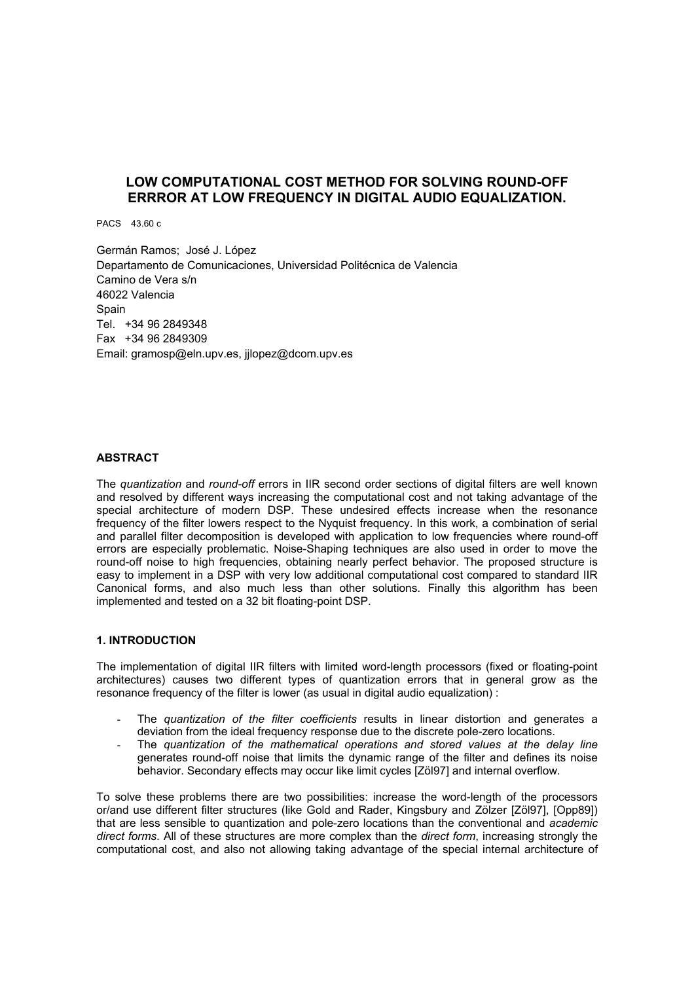# **LOW COMPUTATIONAL COST METHOD FOR SOLVING ROUND-OFF ERRROR AT LOW FREQUENCY IN DIGITAL AUDIO EQUALIZATION.**

PACS 43.60 c

Germán Ramos; José J. López Departamento de Comunicaciones, Universidad Politécnica de Valencia Camino de Vera s/n 46022 Valencia **Spain** Tel. +34 96 2849348 Fax +34 96 2849309 Email: gramosp@eln.upv.es, jjlopez@dcom.upv.es

# **ABSTRACT**

The *quantization* and *round-off* errors in IIR second order sections of digital filters are well known and resolved by different ways increasing the computational cost and not taking advantage of the special architecture of modern DSP. These undesired effects increase when the resonance frequency of the filter lowers respect to the Nyquist frequency. In this work, a combination of serial and parallel filter decomposition is developed with application to low frequencies where round-off errors are especially problematic. Noise-Shaping techniques are also used in order to move the round-off noise to high frequencies, obtaining nearly perfect behavior. The proposed structure is easy to implement in a DSP with very low additional computational cost compared to standard IIR Canonical forms, and also much less than other solutions. Finally this algorithm has been implemented and tested on a 32 bit floating-point DSP.

#### **1. INTRODUCTION**

The implementation of digital IIR filters with limited word-length processors (fixed or floating-point architectures) causes two different types of quantization errors that in general grow as the resonance frequency of the filter is lower (as usual in digital audio equalization) :

- The *quantization of the filter coefficients* results in linear distortion and generates a deviation from the ideal frequency response due to the discrete pole-zero locations.
- The *quantization of the mathematical operations and stored values at the delay line*  generates round-off noise that limits the dynamic range of the filter and defines its noise behavior. Secondary effects may occur like limit cycles [Zöl97] and internal overflow.

To solve these problems there are two possibilities: increase the word-length of the processors or/and use different filter structures (like Gold and Rader, Kingsbury and Zölzer [Zöl97], [Opp89]) that are less sensible to quantization and pole-zero locations than the conventional and *academic direct forms*. All of these structures are more complex than the *direct form*, increasing strongly the computational cost, and also not allowing taking advantage of the special internal architecture of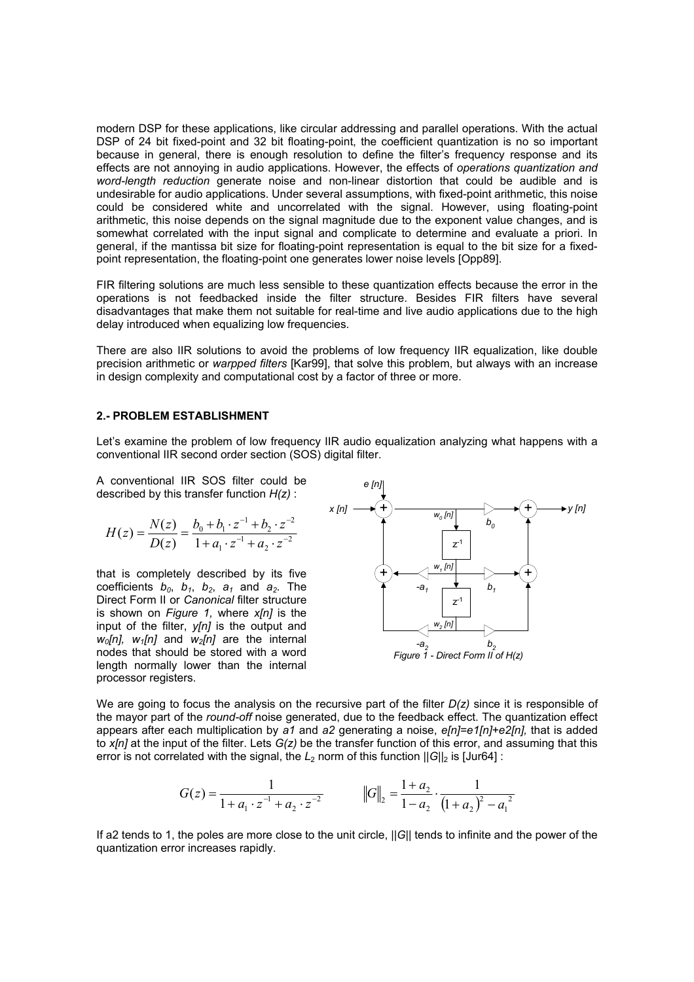modern DSP for these applications, like circular addressing and parallel operations. With the actual DSP of 24 bit fixed-point and 32 bit floating-point, the coefficient quantization is no so important because in general, there is enough resolution to define the filter's frequency response and its effects are not annoying in audio applications. However, the effects of *operations quantization and word-length reduction* generate noise and non-linear distortion that could be audible and is undesirable for audio applications. Under several assumptions, with fixed-point arithmetic, this noise could be considered white and uncorrelated with the signal. However, using floating-point arithmetic, this noise depends on the signal magnitude due to the exponent value changes, and is somewhat correlated with the input signal and complicate to determine and evaluate a priori. In general, if the mantissa bit size for floating-point representation is equal to the bit size for a fixedpoint representation, the floating-point one generates lower noise levels [Opp89].

FIR filtering solutions are much less sensible to these quantization effects because the error in the operations is not feedbacked inside the filter structure. Besides FIR filters have several disadvantages that make them not suitable for real-time and live audio applications due to the high delay introduced when equalizing low frequencies.

There are also IIR solutions to avoid the problems of low frequency IIR equalization, like double precision arithmetic or *warpped filters* [Kar99], that solve this problem, but always with an increase in design complexity and computational cost by a factor of three or more.

### **2.- PROBLEM ESTABLISHMENT**

Let's examine the problem of low frequency IIR audio equalization analyzing what happens with a conventional IIR second order section (SOS) digital filter.

A conventional IIR SOS filter could be described by this transfer function *H(z)* :

$$
H(z) = \frac{N(z)}{D(z)} = \frac{b_0 + b_1 \cdot z^{-1} + b_2 \cdot z^{-2}}{1 + a_1 \cdot z^{-1} + a_2 \cdot z^{-2}}
$$

that is completely described by its five coefficients  $b_0$ ,  $b_1$ ,  $b_2$ ,  $a_1$  and  $a_2$ . The Direct Form II or *Canonical* filter structure is shown on *Figure 1,* where *x[n]* is the input of the filter, *y[n]* is the output and *w0[n], w1[n]* and *w2[n]* are the internal nodes that should be stored with a word length normally lower than the internal processor registers.



We are going to focus the analysis on the recursive part of the filter *D(z)* since it is responsible of the mayor part of the *round-off* noise generated, due to the feedback effect. The quantization effect appears after each multiplication by *a1* and *a2* generating a noise, *e[n]=e1[n]+e2[n],* that is added to *x[n]* at the input of the filter. Lets *G(z)* be the transfer function of this error, and assuming that this error is not correlated with the signal, the  $L_2$  norm of this function  $||G||_2$  is [Jur64] :

$$
G(z) = \frac{1}{1 + a_1 \cdot z^{-1} + a_2 \cdot z^{-2}} \qquad \qquad \left\| G \right\|_2 = \frac{1 + a_2}{1 - a_2} \cdot \frac{1}{(1 + a_2)^2 - a_1^2}
$$

If a2 tends to 1, the poles are more close to the unit circle, ||*G*|| tends to infinite and the power of the quantization error increases rapidly.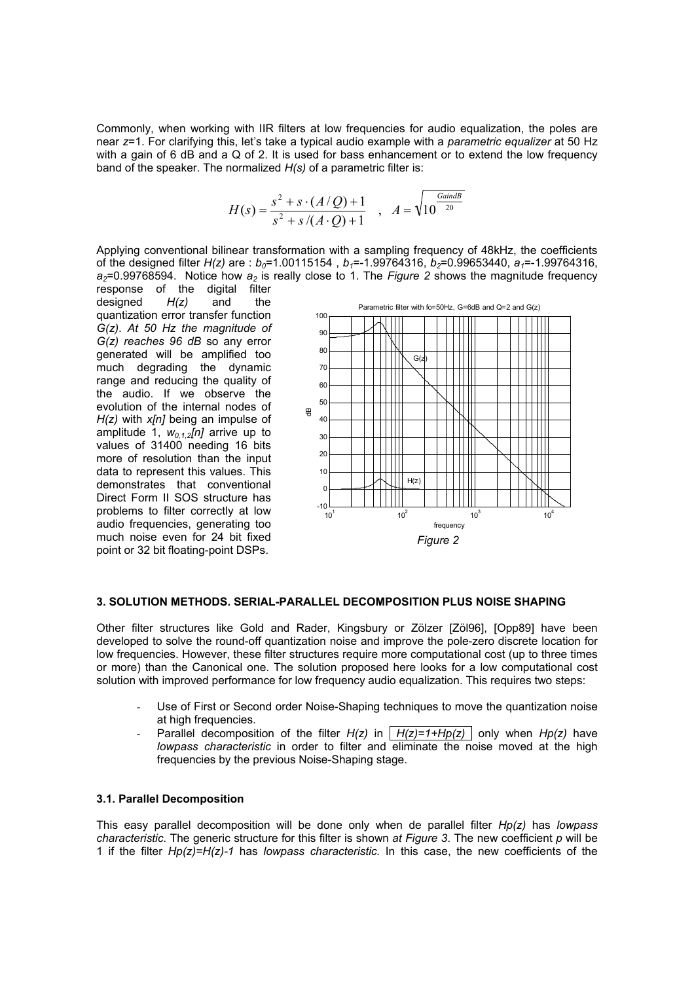Commonly, when working with IIR filters at low frequencies for audio equalization, the poles are near *z*=1. For clarifying this, let's take a typical audio example with a *parametric equalizer* at 50 Hz with a gain of 6 dB and a Q of 2. It is used for bass enhancement or to extend the low frequency band of the speaker. The normalized *H(s)* of a parametric filter is:

$$
H(s) = \frac{s^2 + s \cdot (A/Q) + 1}{s^2 + s/(A \cdot Q) + 1} , A = \sqrt{10^{\frac{Gain dB}{20}}}
$$

Applying conventional bilinear transformation with a sampling frequency of 48kHz, the coefficients of the designed filter *H(z)* are :  $b_0 = 1.00115154$  ,  $b_1 = -1.99764316$ ,  $b_2 = 0.99653440$ ,  $a_1 = -1.99764316$ .  $a_2$ =0.99768594. Notice how  $a_2$  is really close to 1. The *Figure 2* shows the magnitude frequency

response of the digital filter designed *H(z)* and the quantization error transfer function *G(z)*. *At 50 Hz the magnitude of G(z) reaches 96 dB* so any error generated will be amplified too much degrading the dynamic range and reducing the quality of the audio. If we observe the evolution of the internal nodes of *H(z)* with *x[n]* being an impulse of amplitude 1,  $w_{0.1,2}[n]$  arrive up to values of 31400 needing 16 bits more of resolution than the input data to represent this values. This demonstrates that conventional Direct Form II SOS structure has problems to filter correctly at low audio frequencies, generating too much noise even for 24 bit fixed point or 32 bit floating-point DSPs.



### **3. SOLUTION METHODS. SERIAL-PARALLEL DECOMPOSITION PLUS NOISE SHAPING**

Other filter structures like Gold and Rader, Kingsbury or Zölzer [Zöl96], [Opp89] have been developed to solve the round-off quantization noise and improve the pole-zero discrete location for low frequencies. However, these filter structures require more computational cost (up to three times or more) than the Canonical one. The solution proposed here looks for a low computational cost solution with improved performance for low frequency audio equalization. This requires two steps:

- Use of First or Second order Noise-Shaping techniques to move the quantization noise at high frequencies.
- Parallel decomposition of the filter  $H(z)$  in  $H(z)=1+Hp(z)$  only when  $Hp(z)$  have *lowpass characteristic* in order to filter and eliminate the noise moved at the high frequencies by the previous Noise-Shaping stage.

# **3.1. Parallel Decomposition**

This easy parallel decomposition will be done only when de parallel filter *Hp(z)* has *lowpass characteristic*. The generic structure for this filter is shown *at Figure 3*. The new coefficient *p* will be 1 if the filter *Hp(z)=H(z)-1* has *lowpass characteristic.* In this case, the new coefficients of the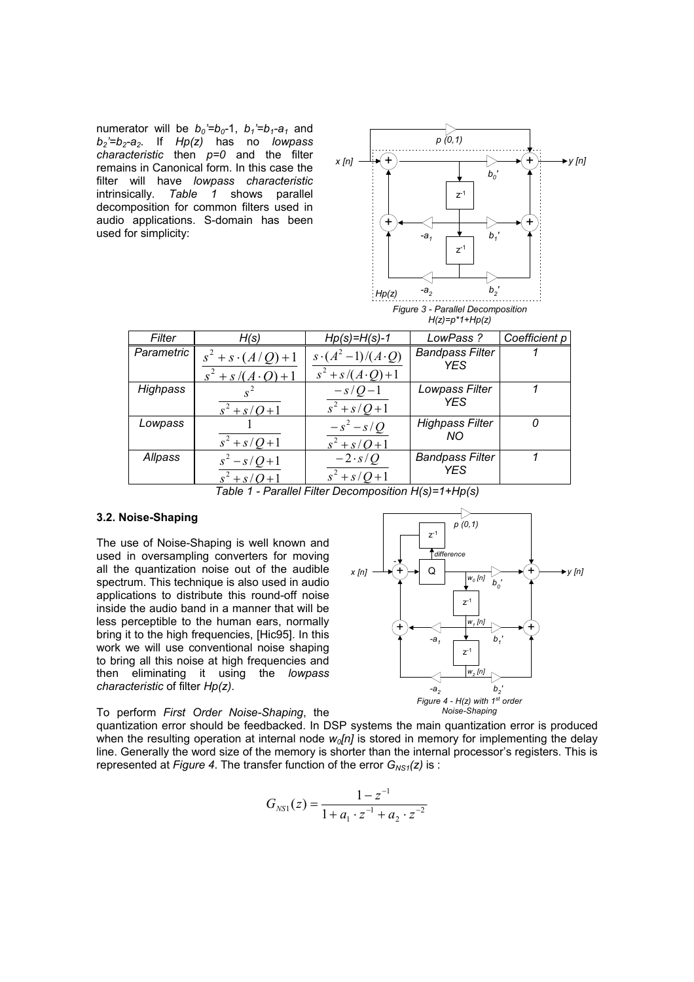numerator will be  $b_0 = b_0 - 1$ ,  $b_1 = b_1 - a_1$  and *b2'=b2-a2*. If *Hp(z)* has no *lowpass characteristic* then *p=0* and the filter remains in Canonical form. In this case the filter will have *lowpass characteristic*  intrinsically*. Table 1* shows parallel decomposition for common filters used in audio applications. S-domain has been used for simplicity:



| Filter            | H(s)                        | $Hp(s)=H(s)-1$             | LowPass?               | Coefficient p |
|-------------------|-----------------------------|----------------------------|------------------------|---------------|
| <b>Parametric</b> | $s^2 + s \cdot (A/Q) + 1$   | $s\cdot(A^2-1)/(A\cdot Q)$ | <b>Bandpass Filter</b> |               |
|                   | $s^{2} + s/(A \cdot Q) + 1$ | $s^2 + s/(A \cdot Q) + 1$  | <b>YES</b>             |               |
| Highpass          |                             | $-s/Q-1$                   | Lowpass Filter         |               |
|                   | $s^2 + s/Q + 1$             | $s^2 + s/Q + 1$            | <b>YES</b>             |               |
| Lowpass           |                             | $-s^2-s/Q$                 | <b>Highpass Filter</b> |               |
|                   | $s^2 + s/Q + 1$             | $s^2 + s/Q + 1$            | NO.                    |               |
| Allpass           | $s^2 - s/Q + 1$             | $-2 \cdot s/Q$             | <b>Bandpass Filter</b> |               |
|                   | $s^2 + s/Q + 1$             | $s^2 + s/Q + 1$            | <b>YES</b>             |               |

*Table 1 - Parallel Filter Decomposition H(s)=1+Hp(s)* 

# **3.2. Noise-Shaping**

The use of Noise-Shaping is well known and used in oversampling converters for moving all the quantization noise out of the audible spectrum. This technique is also used in audio applications to distribute this round-off noise inside the audio band in a manner that will be less perceptible to the human ears, normally bring it to the high frequencies, [Hic95]. In this work we will use conventional noise shaping to bring all this noise at high frequencies and then eliminating it using the *lowpass characteristic* of filter *Hp(z)*.



*p (0,1)*

To perform *First Order Noise-Shaping*, the

quantization error should be feedbacked. In DSP systems the main quantization error is produced when the resulting operation at internal node  $w_0[n]$  is stored in memory for implementing the delay line. Generally the word size of the memory is shorter than the internal processor's registers. This is represented at *Figure 4*. The transfer function of the error  $G_{NS1}(z)$  is :

$$
G_{NS1}(z) = \frac{1 - z^{-1}}{1 + a_1 \cdot z^{-1} + a_2 \cdot z^{-2}}
$$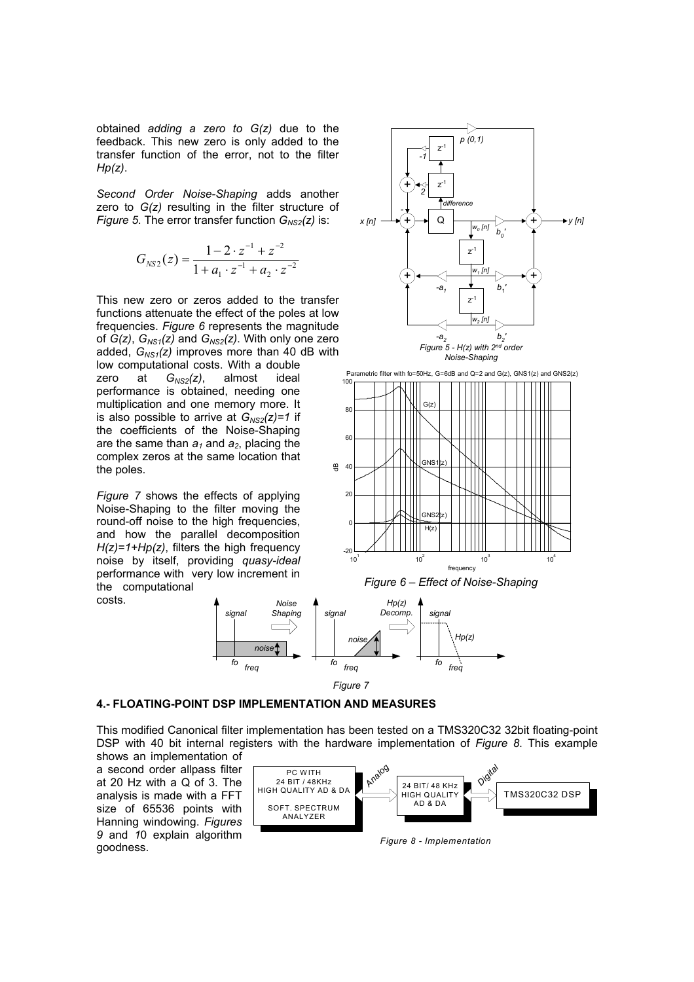obtained *adding a zero to G(z)* due to the feedback. This new zero is only added to the transfer function of the error, not to the filter *Hp(z)*.

*Second Order Noise-Shaping* adds another zero to *G(z)* resulting in the filter structure of *Figure 5.* The error transfer function  $G_{NS2}(z)$  is:

$$
G_{NS2}(z) = \frac{1 - 2 \cdot z^{-1} + z^{-2}}{1 + a_1 \cdot z^{-1} + a_2 \cdot z^{-2}}
$$

This new zero or zeros added to the transfer functions attenuate the effect of the poles at low frequencies. *Figure 6* represents the magnitude of  $G(z)$ ,  $G<sub>NS1</sub>(z)$  and  $G<sub>NS2</sub>(z)$ . With only one zero added,  $G_{NS1}(z)$  improves more than 40 dB with low computational costs. With a double

zero at *G<sub>NS2</sub>(z)*, almost ideal performance is obtained, needing one multiplication and one memory more. It is also possible to arrive at  $G_{NS2}(z)=1$  if the coefficients of the Noise-Shaping are the same than  $a_1$  and  $a_2$ , placing the complex zeros at the same location that the poles.

*Figure 7* shows the effects of applying Noise-Shaping to the filter moving the round-off noise to the high frequencies, and how the parallel decomposition *H(z)=1+Hp(z)*, filters the high frequency noise by itself, providing *quasy-ideal*  performance with very low increment in the computational *Noise*

costs.





#### **4.- FLOATING-POINT DSP IMPLEMENTATION AND MEASURES**

*noise*

*Shaping*

*freq fo*

*signal*

This modified Canonical filter implementation has been tested on a TMS320C32 32bit floating-point DSP with 40 bit internal registers with the hardware implementation of *Figure 8*. This example shows an implementation of

a second order allpass filter at 20 Hz with a Q of 3. The analysis is made with a FFT size of 65536 points with Hanning windowing. *Figures 9* and *1*0 explain algorithm goodness.



*Figure 8 - Implementation*